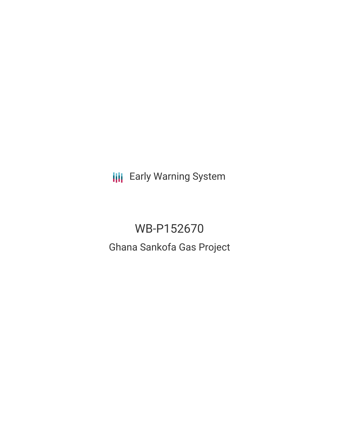**III** Early Warning System

# WB-P152670 Ghana Sankofa Gas Project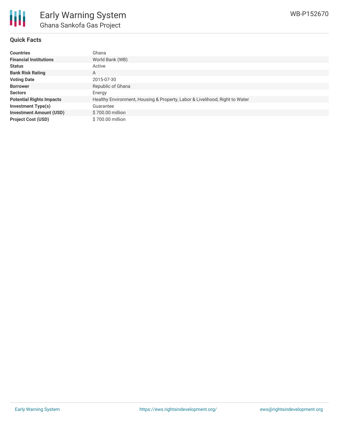

### **Quick Facts**

| <b>Countries</b>                | Ghana                                                                       |
|---------------------------------|-----------------------------------------------------------------------------|
| <b>Financial Institutions</b>   | World Bank (WB)                                                             |
| <b>Status</b>                   | Active                                                                      |
| <b>Bank Risk Rating</b>         | A                                                                           |
| <b>Voting Date</b>              | 2015-07-30                                                                  |
| <b>Borrower</b>                 | Republic of Ghana                                                           |
| <b>Sectors</b>                  | Energy                                                                      |
| <b>Potential Rights Impacts</b> | Healthy Environment, Housing & Property, Labor & Livelihood, Right to Water |
| <b>Investment Type(s)</b>       | Guarantee                                                                   |
| <b>Investment Amount (USD)</b>  | \$700.00 million                                                            |
| <b>Project Cost (USD)</b>       | \$700.00 million                                                            |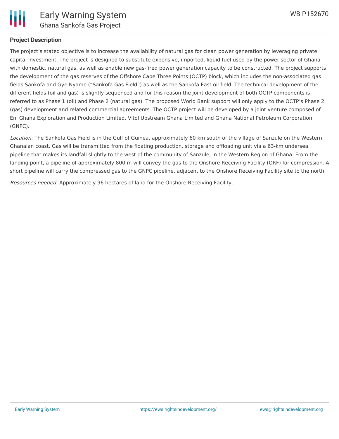

### **Project Description**

The project's stated objective is to increase the availability of natural gas for clean power generation by leveraging private capital investment. The project is designed to substitute expensive, imported, liquid fuel used by the power sector of Ghana with domestic, natural gas, as well as enable new gas-fired power generation capacity to be constructed. The project supports the development of the gas reserves of the Offshore Cape Three Points (OCTP) block, which includes the non-associated gas fields Sankofa and Gye Nyame ("Sankofa Gas Field") as well as the Sankofa East oil field. The technical development of the different fields (oil and gas) is slightly sequenced and for this reason the joint development of both OCTP components is referred to as Phase 1 (oil) and Phase 2 (natural gas). The proposed World Bank support will only apply to the OCTP's Phase 2 (gas) development and related commercial agreements. The OCTP project will be developed by a joint venture composed of Eni Ghana Exploration and Production Limited, Vitol Upstream Ghana Limited and Ghana National Petroleum Corporation (GNPC).

Location: The Sankofa Gas Field is in the Gulf of Guinea, approximately 60 km south of the village of Sanzule on the Western Ghanaian coast. Gas will be transmitted from the floating production, storage and offloading unit via a 63-km undersea pipeline that makes its landfall slightly to the west of the community of Sanzule, in the Western Region of Ghana. From the landing point, a pipeline of approximately 800 m will convey the gas to the Onshore Receiving Facility (ORF) for compression. A short pipeline will carry the compressed gas to the GNPC pipeline, adjacent to the Onshore Receiving Facility site to the north.

Resources needed: Approximately 96 hectares of land for the Onshore Receiving Facility.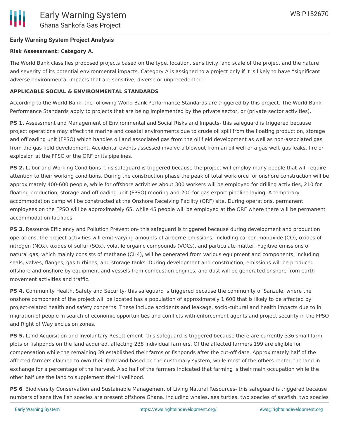

# **Early Warning System Project Analysis**

## **Risk Assessment: Category A.**

The World Bank classifies proposed projects based on the type, location, sensitivity, and scale of the project and the nature and severity of its potential environmental impacts. Category A is assigned to a project only if it is likely to have "significant adverse environmental impacts that are sensitive, diverse or unprecedented."

### **APPLICABLE SOCIAL & ENVIRONMENTAL STANDARDS**

According to the World Bank, the following World Bank Performance Standards are triggered by this project. The World Bank Performance Standards apply to projects that are being implemented by the private sector, or (private sector activities).

**PS 1.** Assessment and Management of Environmental and Social Risks and Impacts- this safeguard is triggered because project operations may affect the marine and coastal environments due to crude oil spill from the floating production, storage and offloading unit (FPSO) which handles oil and associated gas from the oil field development as well as non-associated gas from the gas field development. Accidental events assessed involve a blowout from an oil well or a gas well, gas leaks, fire or explosion at the FPSO or the ORF or its pipelines.

**PS 2.** Labor and Working Conditions- this safeguard is triggered because the project will employ many people that will require attention to their working conditions. During the construction phase the peak of total workforce for onshore construction will be approximately 400-600 people, while for offshore activities about 300 workers will be employed for drilling activities, 210 for floating production, storage and offloading unit (FPSO) mooring and 200 for gas export pipeline laying. A temporary accommodation camp will be constructed at the Onshore Receiving Facility (ORF) site. During operations, permanent employees on the FPSO will be approximately 65, while 45 people will be employed at the ORF where there will be permanent accommodation facilities.

**PS 3.** Resource Efficiency and Pollution Prevention- this safeguard is triggered because during development and production operations, the project activities will emit varying amounts of airborne emissions, including carbon monoxide (CO), oxides of nitrogen (NOx), oxides of sulfur (SOx), volatile organic compounds (VOCs), and particulate matter. Fugitive emissions of natural gas, which mainly consists of methane (CH4), will be generated from various equipment and components, including seals, valves, flanges, gas turbines, and storage tanks. During development and construction, emissions will be produced offshore and onshore by equipment and vessels from combustion engines, and dust will be generated onshore from earth movement activities and traffic.

**PS 4.** Community Health, Safety and Security- this safeguard is triggered because the community of Sanzule, where the onshore component of the project will be located has a population of approximately 1,600 that is likely to be affected by project-related health and safety concerns. These include accidents and leakage, socio-cultural and health impacts due to in migration of people in search of economic opportunities and conflicts with enforcement agents and project security in the FPSO and Right of Way exclusion zones.

**PS 5.** Land Acquisition and Involuntary Resettlement- this safeguard is triggered because there are currently 336 small farm plots or fishponds on the land acquired, affecting 238 individual farmers. Of the affected farmers 199 are eligible for compensation while the remaining 39 established their farms or fishponds after the cut-off date. Approximately half of the affected farmers claimed to own their farmland based on the customary system, while most of the others rented the land in exchange for a percentage of the harvest. Also half of the farmers indicated that farming is their main occupation while the other half use the land to supplement their livelihood.

**PS 6**. Biodiversity Conservation and Sustainable Management of Living Natural Resources- this safeguard is triggered because numbers of sensitive fish species are present offshore Ghana, including whales, sea turtles, two species of sawfish, two species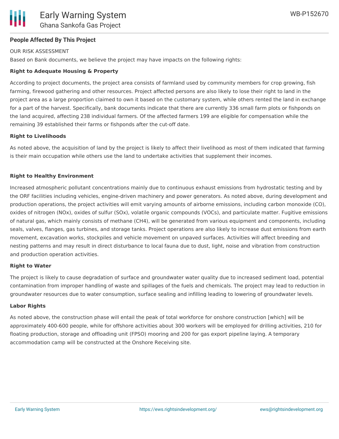# **People Affected By This Project**

### OUR RISK ASSESSMENT

Based on Bank documents, we believe the project may have impacts on the following rights:

### **Right to Adequate Housing & Property**

According to project documents, the project area consists of farmland used by community members for crop growing, fish farming, firewood gathering and other resources. Project affected persons are also likely to lose their right to land in the project area as a large proportion claimed to own it based on the customary system, while others rented the land in exchange for a part of the harvest. Specifically, bank documents indicate that there are currently 336 small farm plots or fishponds on the land acquired, affecting 238 individual farmers. Of the affected farmers 199 are eligible for compensation while the remaining 39 established their farms or fishponds after the cut-off date.

#### **Right to Livelihoods**

As noted above, the acquisition of land by the project is likely to affect their livelihood as most of them indicated that farming is their main occupation while others use the land to undertake activities that supplement their incomes.

#### **Right to Healthy Environment**

Increased atmospheric pollutant concentrations mainly due to continuous exhaust emissions from hydrostatic testing and by the ORF facilities including vehicles, engine-driven machinery and power generators. As noted above, during development and production operations, the project activities will emit varying amounts of airborne emissions, including carbon monoxide (CO), oxides of nitrogen (NOx), oxides of sulfur (SOx), volatile organic compounds (VOCs), and particulate matter. Fugitive emissions of natural gas, which mainly consists of methane (CH4), will be generated from various equipment and components, including seals, valves, flanges, gas turbines, and storage tanks. Project operations are also likely to increase dust emissions from earth movement, excavation works, stockpiles and vehicle movement on unpaved surfaces. Activities will affect breeding and nesting patterns and may result in direct disturbance to local fauna due to dust, light, noise and vibration from construction and production operation activities.

#### **Right to Water**

The project is likely to cause degradation of surface and groundwater water quality due to increased sediment load, potential contamination from improper handling of waste and spillages of the fuels and chemicals. The project may lead to reduction in groundwater resources due to water consumption, surface sealing and infilling leading to lowering of groundwater levels.

#### **Labor Rights**

As noted above, the construction phase will entail the peak of total workforce for onshore construction [which] will be approximately 400-600 people, while for offshore activities about 300 workers will be employed for drilling activities, 210 for floating production, storage and offloading unit (FPSO) mooring and 200 for gas export pipeline laying. A temporary accommodation camp will be constructed at the Onshore Receiving site.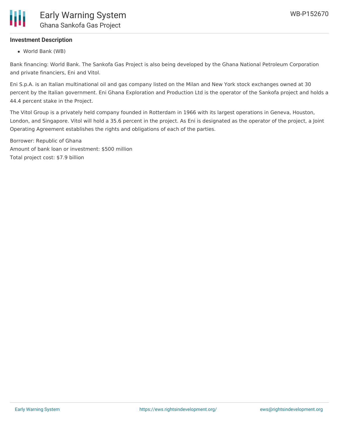

## **Investment Description**

World Bank (WB)

Bank financing: World Bank. The Sankofa Gas Project is also being developed by the Ghana National Petroleum Corporation and private financiers, Eni and Vitol.

Eni S.p.A. is an Italian multinational oil and gas company listed on the Milan and New York stock exchanges owned at 30 percent by the Italian government. Eni Ghana Exploration and Production Ltd is the operator of the Sankofa project and holds a 44.4 percent stake in the Project.

The Vitol Group is a privately held company founded in Rotterdam in 1966 with its largest operations in Geneva, Houston, London, and Singapore. Vitol will hold a 35.6 percent in the project. As Eni is designated as the operator of the project, a Joint Operating Agreement establishes the rights and obligations of each of the parties.

Borrower: Republic of Ghana Amount of bank loan or investment: \$500 million Total project cost: \$7.9 billion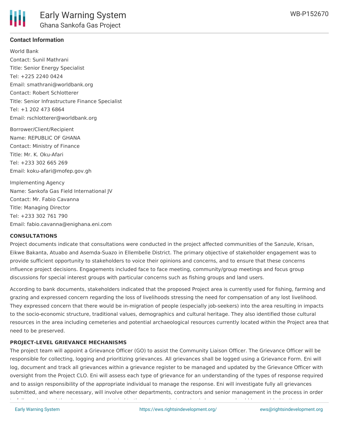## **Contact Information**

World Bank Contact: Sunil Mathrani Title: Senior Energy Specialist Tel: +225 2240 0424 Email: smathrani@worldbank.org Contact: Robert Schlotterer Title: Senior Infrastructure Finance Specialist Tel: +1 202 473 6864 Email: rschlotterer@worldbank.org

Borrower/Client/Recipient Name: REPUBLIC OF GHANA Contact: Ministry of Finance Title: Mr. K. Oku-Afari Tel: +233 302 665 269 Email: koku-afari@mofep.gov.gh

Implementing Agency Name: Sankofa Gas Field International JV Contact: Mr. Fabio Cavanna Title: Managing Director Tel: +233 302 761 790 Email: fabio.cavanna@enighana.eni.com

#### **CONSULTATIONS**

Project documents indicate that consultations were conducted in the project affected communities of the Sanzule, Krisan, Eikwe Bakanta, Atuabo and Asemda-Suazo in Ellembelle District. The primary objective of stakeholder engagement was to provide sufficient opportunity to stakeholders to voice their opinions and concerns, and to ensure that these concerns influence project decisions. Engagements included face to face meeting, community/group meetings and focus group discussions for special interest groups with particular concerns such as fishing groups and land users.

According to bank documents, stakeholders indicated that the proposed Project area is currently used for fishing, farming and grazing and expressed concern regarding the loss of livelihoods stressing the need for compensation of any lost livelihood. They expressed concern that there would be in-migration of people (especially job-seekers) into the area resulting in impacts to the socio-economic structure, traditional values, demographics and cultural heritage. They also identified those cultural resources in the area including cemeteries and potential archaeological resources currently located within the Project area that need to be preserved.

## **PROJECT-LEVEL GRIEVANCE MECHANISMS**

The project team will appoint a Grievance Officer (GO) to assist the Community Liaison Officer. The Grievance Officer will be responsible for collecting, logging and prioritizing grievances. All grievances shall be logged using a Grievance Form. Eni will log, document and track all grievances within a grievance register to be managed and updated by the Grievance Officer with oversight from the Project CLO. Eni will assess each type of grievance for an understanding of the types of response required and to assign responsibility of the appropriate individual to manage the response. Eni will investigate fully all grievances submitted, and where necessary, will involve other departments, contractors and senior management in the process in order to fully understand the circumstances that led to the grievance being raised. A response should be provided to the